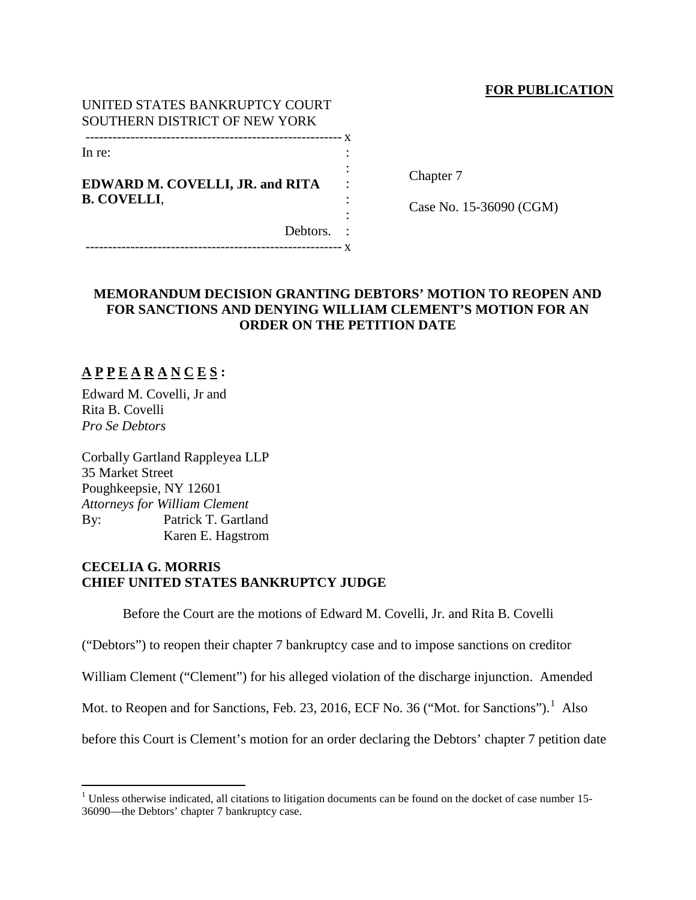# **FOR PUBLICATION**

## UNITED STATES BANKRUPTCY COURT SOUTHERN DISTRICT OF NEW YORK --------------------------------------------------------- x

In re:

# **EDWARD M. COVELLI, JR. and RITA B. COVELLI**,

Chapter 7

Case No. 15-36090 (CGM)

Debtors. : --------------------------------------------------------- x

# **MEMORANDUM DECISION GRANTING DEBTORS' MOTION TO REOPEN AND FOR SANCTIONS AND DENYING WILLIAM CLEMENT'S MOTION FOR AN ORDER ON THE PETITION DATE**

: : : : :

# **A P P E A R A N C E S :**

Edward M. Covelli, Jr and Rita B. Covelli *Pro Se Debtors*

Corbally Gartland Rappleyea LLP 35 Market Street Poughkeepsie, NY 12601 *Attorneys for William Clement* By: Patrick T. Gartland Karen E. Hagstrom

# **CECELIA G. MORRIS CHIEF UNITED STATES BANKRUPTCY JUDGE**

Before the Court are the motions of Edward M. Covelli, Jr. and Rita B. Covelli

("Debtors") to reopen their chapter 7 bankruptcy case and to impose sanctions on creditor

William Clement ("Clement") for his alleged violation of the discharge injunction. Amended

Mot. to Reopen and for Sanctions, Feb. 23, 20[1](#page-0-0)6, ECF No. 36 ("Mot. for Sanctions").<sup>1</sup> Also

before this Court is Clement's motion for an order declaring the Debtors' chapter 7 petition date

<span id="page-0-0"></span><sup>&</sup>lt;sup>1</sup> Unless otherwise indicated, all citations to litigation documents can be found on the docket of case number 15-36090—the Debtors' chapter 7 bankruptcy case.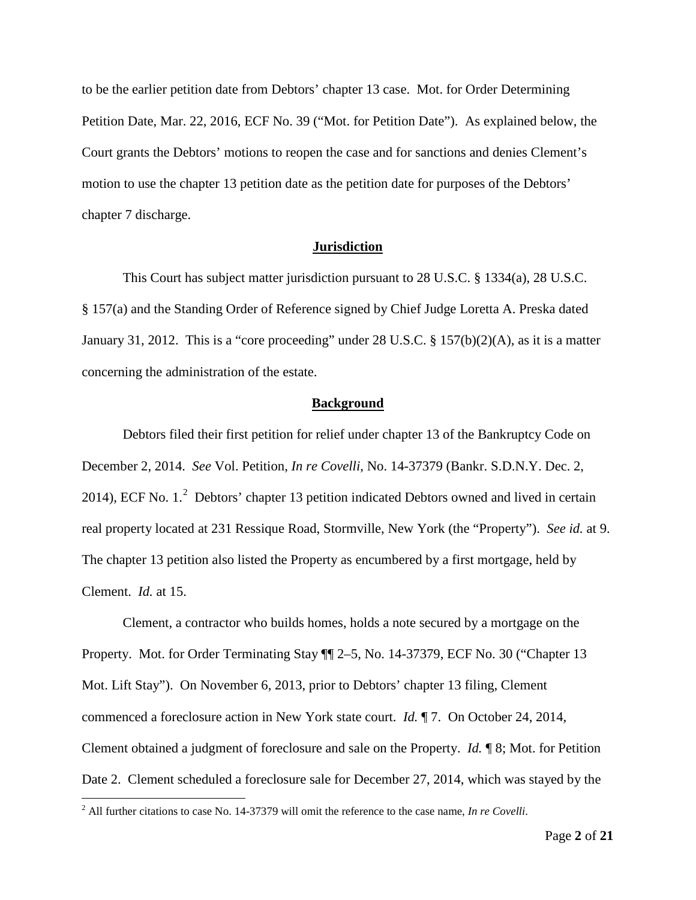to be the earlier petition date from Debtors' chapter 13 case. Mot. for Order Determining Petition Date, Mar. 22, 2016, ECF No. 39 ("Mot. for Petition Date"). As explained below, the Court grants the Debtors' motions to reopen the case and for sanctions and denies Clement's motion to use the chapter 13 petition date as the petition date for purposes of the Debtors' chapter 7 discharge.

## **Jurisdiction**

This Court has subject matter jurisdiction pursuant to 28 U.S.C. § 1334(a), 28 U.S.C. § 157(a) and the Standing Order of Reference signed by Chief Judge Loretta A. Preska dated January 31, 2012. This is a "core proceeding" under 28 U.S.C. § 157(b)(2)(A), as it is a matter concerning the administration of the estate.

#### **Background**

Debtors filed their first petition for relief under chapter 13 of the Bankruptcy Code on December 2, 2014. *See* Vol. Petition, *In re Covelli*, No. 14-37379 (Bankr. S.D.N.Y. Dec. 2, [2](#page-1-0)014), ECF No.  $1<sup>2</sup>$  Debtors' chapter 13 petition indicated Debtors owned and lived in certain real property located at 231 Ressique Road, Stormville, New York (the "Property"). *See id.* at 9. The chapter 13 petition also listed the Property as encumbered by a first mortgage, held by Clement. *Id.* at 15.

Clement, a contractor who builds homes, holds a note secured by a mortgage on the Property. Mot. for Order Terminating Stay ¶¶ 2–5, No. 14-37379, ECF No. 30 ("Chapter 13 Mot. Lift Stay"). On November 6, 2013, prior to Debtors' chapter 13 filing, Clement commenced a foreclosure action in New York state court. *Id.* ¶ 7. On October 24, 2014, Clement obtained a judgment of foreclosure and sale on the Property. *Id.* ¶ 8; Mot. for Petition Date 2. Clement scheduled a foreclosure sale for December 27, 2014, which was stayed by the

<span id="page-1-0"></span> <sup>2</sup> All further citations to case No. 14-37379 will omit the reference to the case name, *In re Covelli*.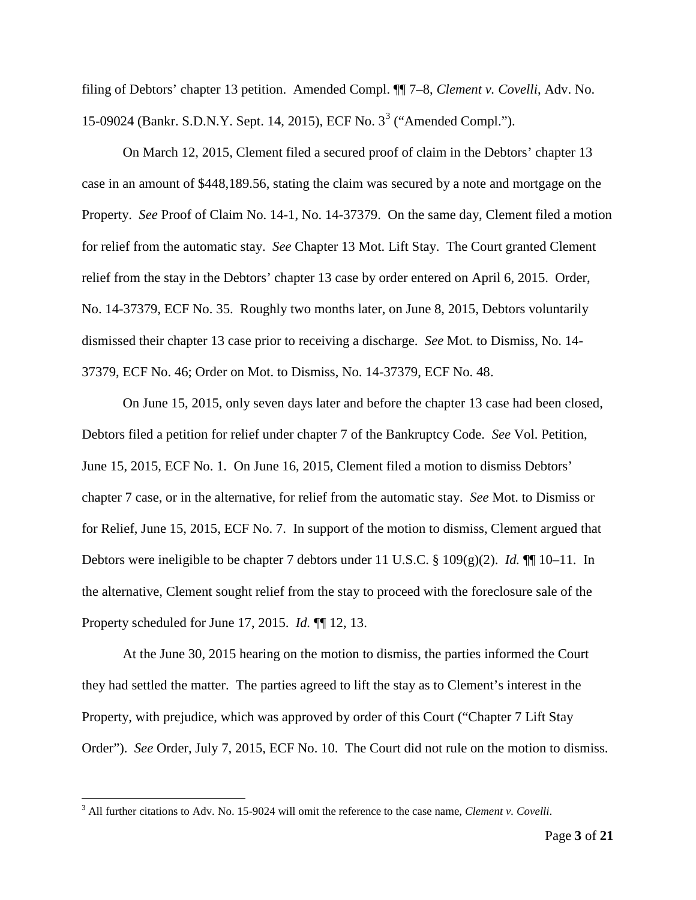filing of Debtors' chapter 13 petition. Amended Compl. ¶¶ 7–8, *Clement v. Covelli*, Adv. No. 15-09024 (Bankr. S.D.N.Y. Sept. 14, 2015), ECF No. 3[3](#page-2-0) ("Amended Compl.").

On March 12, 2015, Clement filed a secured proof of claim in the Debtors' chapter 13 case in an amount of \$448,189.56, stating the claim was secured by a note and mortgage on the Property. *See* Proof of Claim No. 14-1, No. 14-37379. On the same day, Clement filed a motion for relief from the automatic stay. *See* Chapter 13 Mot. Lift Stay. The Court granted Clement relief from the stay in the Debtors' chapter 13 case by order entered on April 6, 2015. Order, No. 14-37379, ECF No. 35. Roughly two months later, on June 8, 2015, Debtors voluntarily dismissed their chapter 13 case prior to receiving a discharge. *See* Mot. to Dismiss, No. 14- 37379, ECF No. 46; Order on Mot. to Dismiss, No. 14-37379, ECF No. 48.

On June 15, 2015, only seven days later and before the chapter 13 case had been closed, Debtors filed a petition for relief under chapter 7 of the Bankruptcy Code. *See* Vol. Petition, June 15, 2015, ECF No. 1. On June 16, 2015, Clement filed a motion to dismiss Debtors' chapter 7 case, or in the alternative, for relief from the automatic stay. *See* Mot. to Dismiss or for Relief, June 15, 2015, ECF No. 7. In support of the motion to dismiss, Clement argued that Debtors were ineligible to be chapter 7 debtors under 11 U.S.C. § 109(g)(2). *Id.* ¶¶ 10–11. In the alternative, Clement sought relief from the stay to proceed with the foreclosure sale of the Property scheduled for June 17, 2015. *Id.* ¶¶ 12, 13.

At the June 30, 2015 hearing on the motion to dismiss, the parties informed the Court they had settled the matter. The parties agreed to lift the stay as to Clement's interest in the Property, with prejudice, which was approved by order of this Court ("Chapter 7 Lift Stay Order"). *See* Order, July 7, 2015, ECF No. 10. The Court did not rule on the motion to dismiss.

<span id="page-2-0"></span> <sup>3</sup> All further citations to Adv. No. 15-9024 will omit the reference to the case name, *Clement v. Covelli*.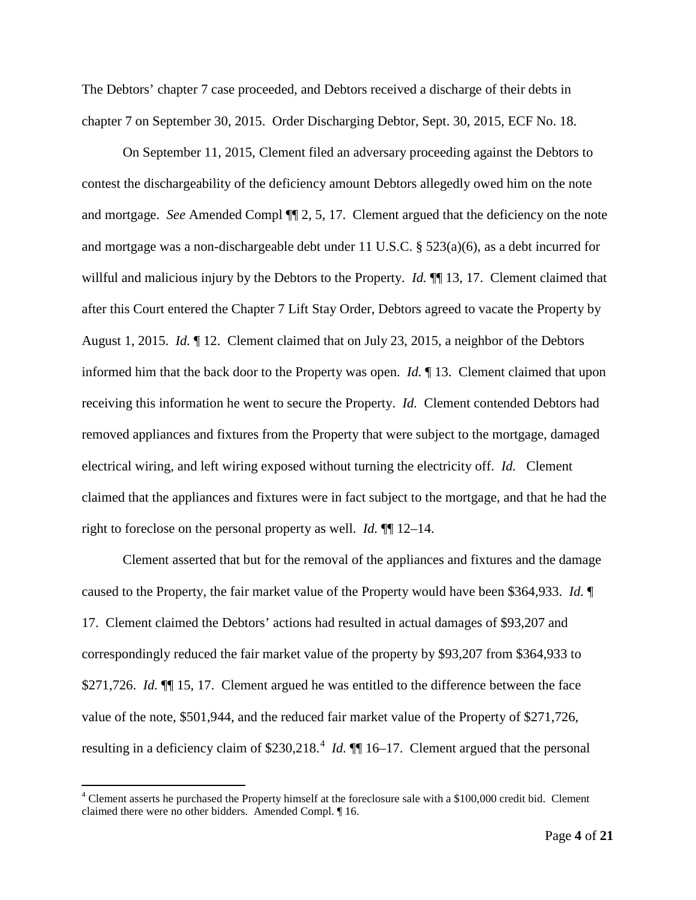The Debtors' chapter 7 case proceeded, and Debtors received a discharge of their debts in chapter 7 on September 30, 2015. Order Discharging Debtor, Sept. 30, 2015, ECF No. 18.

On September 11, 2015, Clement filed an adversary proceeding against the Debtors to contest the dischargeability of the deficiency amount Debtors allegedly owed him on the note and mortgage. *See* Amended Compl ¶¶ 2, 5, 17. Clement argued that the deficiency on the note and mortgage was a non-dischargeable debt under 11 U.S.C. § 523(a)(6), as a debt incurred for willful and malicious injury by the Debtors to the Property. *Id.* ¶¶ 13, 17. Clement claimed that after this Court entered the Chapter 7 Lift Stay Order, Debtors agreed to vacate the Property by August 1, 2015. *Id.* ¶ 12. Clement claimed that on July 23, 2015, a neighbor of the Debtors informed him that the back door to the Property was open. *Id.* ¶ 13. Clement claimed that upon receiving this information he went to secure the Property. *Id.* Clement contended Debtors had removed appliances and fixtures from the Property that were subject to the mortgage, damaged electrical wiring, and left wiring exposed without turning the electricity off. *Id.* Clement claimed that the appliances and fixtures were in fact subject to the mortgage, and that he had the right to foreclose on the personal property as well. *Id.* ¶¶ 12–14.

Clement asserted that but for the removal of the appliances and fixtures and the damage caused to the Property, the fair market value of the Property would have been \$364,933. *Id.* ¶ 17. Clement claimed the Debtors' actions had resulted in actual damages of \$93,207 and correspondingly reduced the fair market value of the property by \$93,207 from \$364,933 to \$271,726. *Id.*  $\P$  15, 17. Clement argued he was entitled to the difference between the face value of the note, \$501,944, and the reduced fair market value of the Property of \$271,726, resulting in a deficiency claim of \$230,218.<sup>[4](#page-3-0)</sup> *Id.*  $\P$  16–17. Clement argued that the personal

<span id="page-3-0"></span><sup>&</sup>lt;sup>4</sup> Clement asserts he purchased the Property himself at the foreclosure sale with a \$100,000 credit bid. Clement claimed there were no other bidders. Amended Compl. ¶ 16.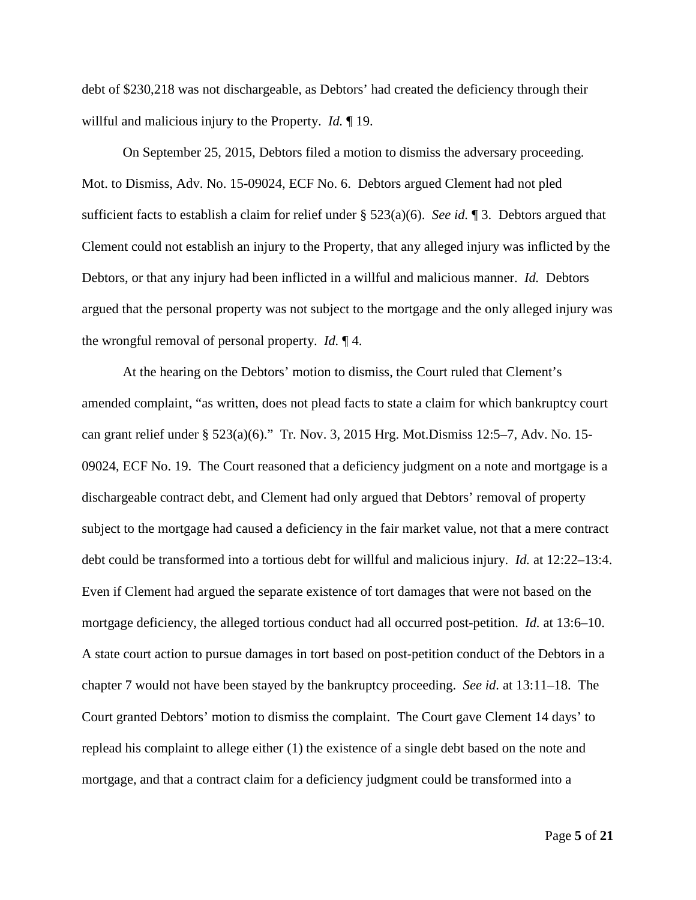debt of \$230,218 was not dischargeable, as Debtors' had created the deficiency through their willful and malicious injury to the Property. *Id.* ¶ 19.

On September 25, 2015, Debtors filed a motion to dismiss the adversary proceeding. Mot. to Dismiss, Adv. No. 15-09024, ECF No. 6. Debtors argued Clement had not pled sufficient facts to establish a claim for relief under § 523(a)(6). *See id.* ¶ 3. Debtors argued that Clement could not establish an injury to the Property, that any alleged injury was inflicted by the Debtors, or that any injury had been inflicted in a willful and malicious manner. *Id.* Debtors argued that the personal property was not subject to the mortgage and the only alleged injury was the wrongful removal of personal property. *Id.* ¶ 4.

At the hearing on the Debtors' motion to dismiss, the Court ruled that Clement's amended complaint, "as written, does not plead facts to state a claim for which bankruptcy court can grant relief under § 523(a)(6)." Tr. Nov. 3, 2015 Hrg. Mot.Dismiss 12:5–7, Adv. No. 15- 09024, ECF No. 19. The Court reasoned that a deficiency judgment on a note and mortgage is a dischargeable contract debt, and Clement had only argued that Debtors' removal of property subject to the mortgage had caused a deficiency in the fair market value, not that a mere contract debt could be transformed into a tortious debt for willful and malicious injury. *Id.* at 12:22–13:4. Even if Clement had argued the separate existence of tort damages that were not based on the mortgage deficiency, the alleged tortious conduct had all occurred post-petition. *Id.* at 13:6–10. A state court action to pursue damages in tort based on post-petition conduct of the Debtors in a chapter 7 would not have been stayed by the bankruptcy proceeding. *See id.* at 13:11–18. The Court granted Debtors' motion to dismiss the complaint. The Court gave Clement 14 days' to replead his complaint to allege either (1) the existence of a single debt based on the note and mortgage, and that a contract claim for a deficiency judgment could be transformed into a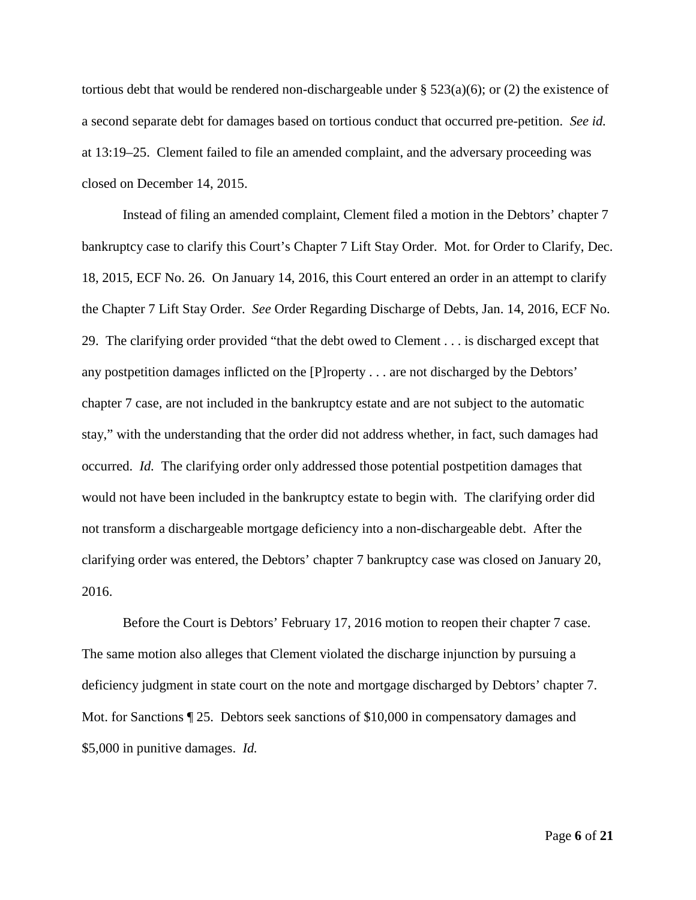tortious debt that would be rendered non-dischargeable under  $\S$  523(a)(6); or (2) the existence of a second separate debt for damages based on tortious conduct that occurred pre-petition. *See id.* at 13:19–25. Clement failed to file an amended complaint, and the adversary proceeding was closed on December 14, 2015.

Instead of filing an amended complaint, Clement filed a motion in the Debtors' chapter 7 bankruptcy case to clarify this Court's Chapter 7 Lift Stay Order. Mot. for Order to Clarify, Dec. 18, 2015, ECF No. 26. On January 14, 2016, this Court entered an order in an attempt to clarify the Chapter 7 Lift Stay Order. *See* Order Regarding Discharge of Debts, Jan. 14, 2016, ECF No. 29. The clarifying order provided "that the debt owed to Clement . . . is discharged except that any postpetition damages inflicted on the [P]roperty . . . are not discharged by the Debtors' chapter 7 case, are not included in the bankruptcy estate and are not subject to the automatic stay," with the understanding that the order did not address whether, in fact, such damages had occurred. *Id.* The clarifying order only addressed those potential postpetition damages that would not have been included in the bankruptcy estate to begin with. The clarifying order did not transform a dischargeable mortgage deficiency into a non-dischargeable debt. After the clarifying order was entered, the Debtors' chapter 7 bankruptcy case was closed on January 20, 2016.

Before the Court is Debtors' February 17, 2016 motion to reopen their chapter 7 case. The same motion also alleges that Clement violated the discharge injunction by pursuing a deficiency judgment in state court on the note and mortgage discharged by Debtors' chapter 7. Mot. for Sanctions ¶ 25. Debtors seek sanctions of \$10,000 in compensatory damages and \$5,000 in punitive damages. *Id.*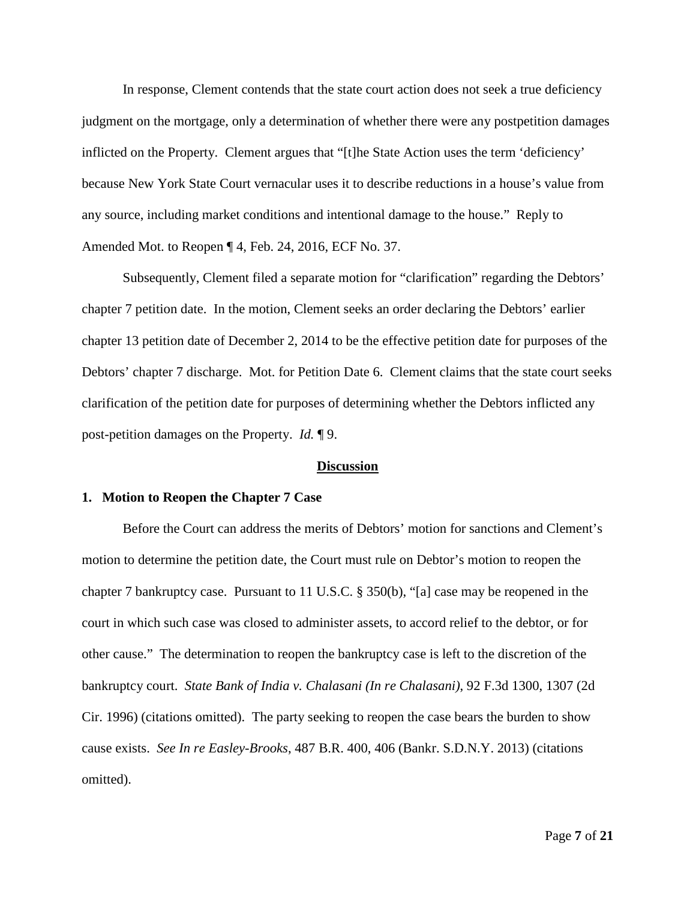In response, Clement contends that the state court action does not seek a true deficiency judgment on the mortgage, only a determination of whether there were any postpetition damages inflicted on the Property. Clement argues that "[t]he State Action uses the term 'deficiency' because New York State Court vernacular uses it to describe reductions in a house's value from any source, including market conditions and intentional damage to the house." Reply to Amended Mot. to Reopen ¶ 4, Feb. 24, 2016, ECF No. 37.

Subsequently, Clement filed a separate motion for "clarification" regarding the Debtors' chapter 7 petition date. In the motion, Clement seeks an order declaring the Debtors' earlier chapter 13 petition date of December 2, 2014 to be the effective petition date for purposes of the Debtors' chapter 7 discharge. Mot. for Petition Date 6. Clement claims that the state court seeks clarification of the petition date for purposes of determining whether the Debtors inflicted any post-petition damages on the Property. *Id.* ¶ 9.

#### **Discussion**

#### **1. Motion to Reopen the Chapter 7 Case**

Before the Court can address the merits of Debtors' motion for sanctions and Clement's motion to determine the petition date, the Court must rule on Debtor's motion to reopen the chapter 7 bankruptcy case. Pursuant to 11 U.S.C. § 350(b), "[a] case may be reopened in the court in which such case was closed to administer assets, to accord relief to the debtor, or for other cause." The determination to reopen the bankruptcy case is left to the discretion of the bankruptcy court. *State Bank of India v. Chalasani (In re Chalasani)*, 92 F.3d 1300, 1307 (2d Cir. 1996) (citations omitted). The party seeking to reopen the case bears the burden to show cause exists. *See In re Easley-Brooks*, 487 B.R. 400, 406 (Bankr. S.D.N.Y. 2013) (citations omitted).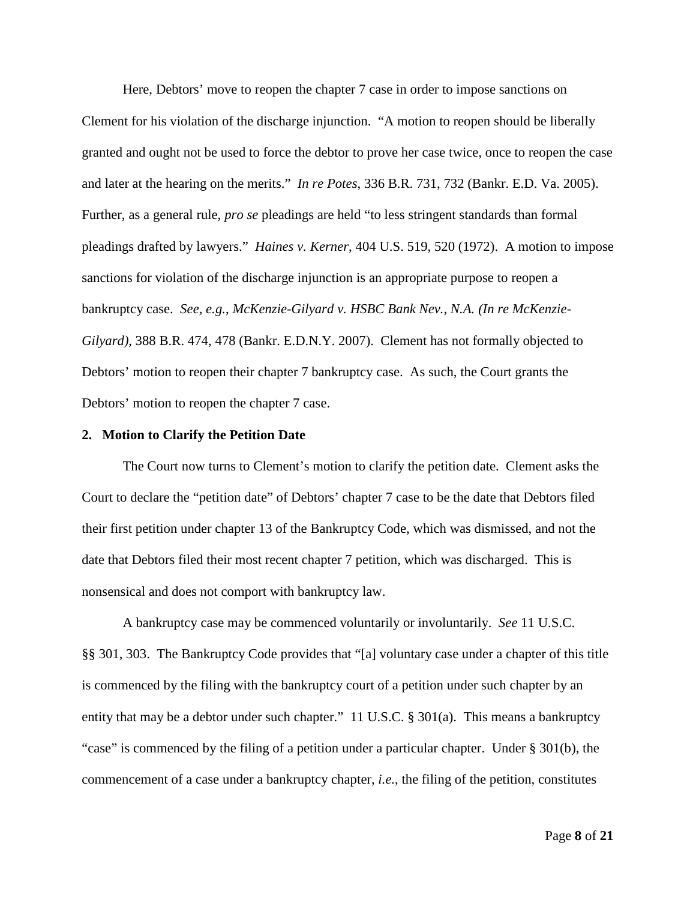Here, Debtors' move to reopen the chapter 7 case in order to impose sanctions on Clement for his violation of the discharge injunction. "A motion to reopen should be liberally granted and ought not be used to force the debtor to prove her case twice, once to reopen the case and later at the hearing on the merits." *In re Potes*, 336 B.R. 731, 732 (Bankr. E.D. Va. 2005). Further, as a general rule, *pro se* pleadings are held "to less stringent standards than formal pleadings drafted by lawyers." *Haines v. Kerner*, 404 U.S. 519, 520 (1972). A motion to impose sanctions for violation of the discharge injunction is an appropriate purpose to reopen a bankruptcy case. *See, e.g.*, *McKenzie-Gilyard v. HSBC Bank Nev., N.A. (In re McKenzie-Gilyard)*, 388 B.R. 474, 478 (Bankr. E.D.N.Y. 2007). Clement has not formally objected to Debtors' motion to reopen their chapter 7 bankruptcy case. As such, the Court grants the Debtors' motion to reopen the chapter 7 case.

#### **2. Motion to Clarify the Petition Date**

The Court now turns to Clement's motion to clarify the petition date. Clement asks the Court to declare the "petition date" of Debtors' chapter 7 case to be the date that Debtors filed their first petition under chapter 13 of the Bankruptcy Code, which was dismissed, and not the date that Debtors filed their most recent chapter 7 petition, which was discharged. This is nonsensical and does not comport with bankruptcy law.

A bankruptcy case may be commenced voluntarily or involuntarily. *See* 11 U.S.C. §§ 301, 303. The Bankruptcy Code provides that "[a] voluntary case under a chapter of this title is commenced by the filing with the bankruptcy court of a petition under such chapter by an entity that may be a debtor under such chapter." 11 U.S.C. § 301(a). This means a bankruptcy "case" is commenced by the filing of a petition under a particular chapter. Under § 301(b), the commencement of a case under a bankruptcy chapter, *i.e.*, the filing of the petition, constitutes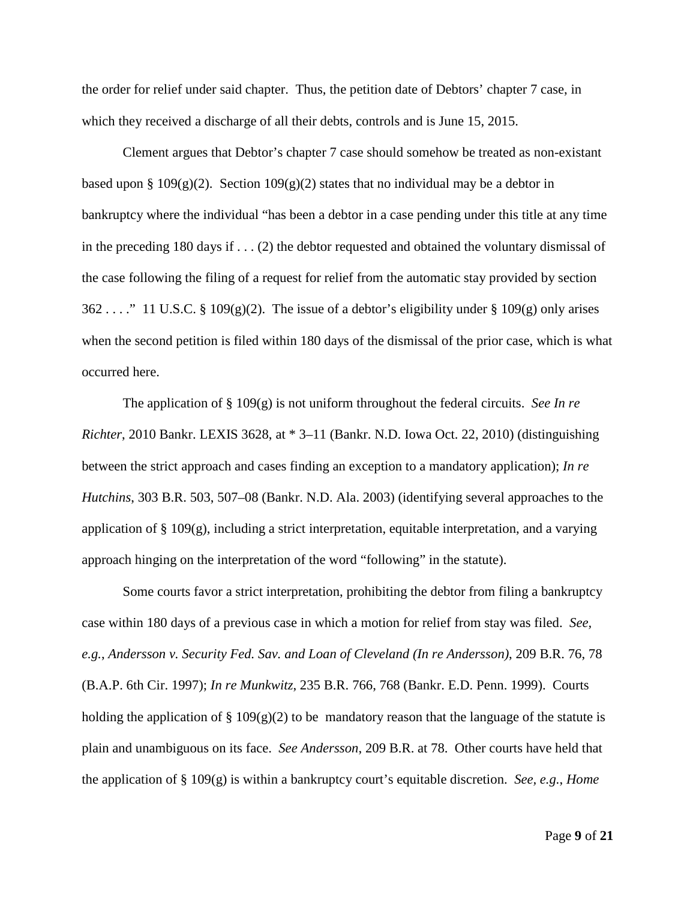the order for relief under said chapter. Thus, the petition date of Debtors' chapter 7 case, in which they received a discharge of all their debts, controls and is June 15, 2015.

Clement argues that Debtor's chapter 7 case should somehow be treated as non-existant based upon § 109(g)(2). Section 109(g)(2) states that no individual may be a debtor in bankruptcy where the individual "has been a debtor in a case pending under this title at any time in the preceding 180 days if . . . (2) the debtor requested and obtained the voluntary dismissal of the case following the filing of a request for relief from the automatic stay provided by section  $362 \ldots$ ." 11 U.S.C. § 109(g)(2). The issue of a debtor's eligibility under § 109(g) only arises when the second petition is filed within 180 days of the dismissal of the prior case, which is what occurred here.

The application of § 109(g) is not uniform throughout the federal circuits. *See In re Richter*, 2010 Bankr. LEXIS 3628, at \* 3–11 (Bankr. N.D. Iowa Oct. 22, 2010) (distinguishing between the strict approach and cases finding an exception to a mandatory application); *In re Hutchins*, 303 B.R. 503, 507–08 (Bankr. N.D. Ala. 2003) (identifying several approaches to the application of § 109(g), including a strict interpretation, equitable interpretation, and a varying approach hinging on the interpretation of the word "following" in the statute).

Some courts favor a strict interpretation, prohibiting the debtor from filing a bankruptcy case within 180 days of a previous case in which a motion for relief from stay was filed. *See, e.g.*, *Andersson v. Security Fed. Sav. and Loan of Cleveland (In re Andersson)*, 209 B.R. 76, 78 (B.A.P. 6th Cir. 1997); *In re Munkwitz*, 235 B.R. 766, 768 (Bankr. E.D. Penn. 1999). Courts holding the application of § 109(g)(2) to be mandatory reason that the language of the statute is plain and unambiguous on its face. *See Andersson*, 209 B.R. at 78. Other courts have held that the application of § 109(g) is within a bankruptcy court's equitable discretion. *See, e.g.*, *Home*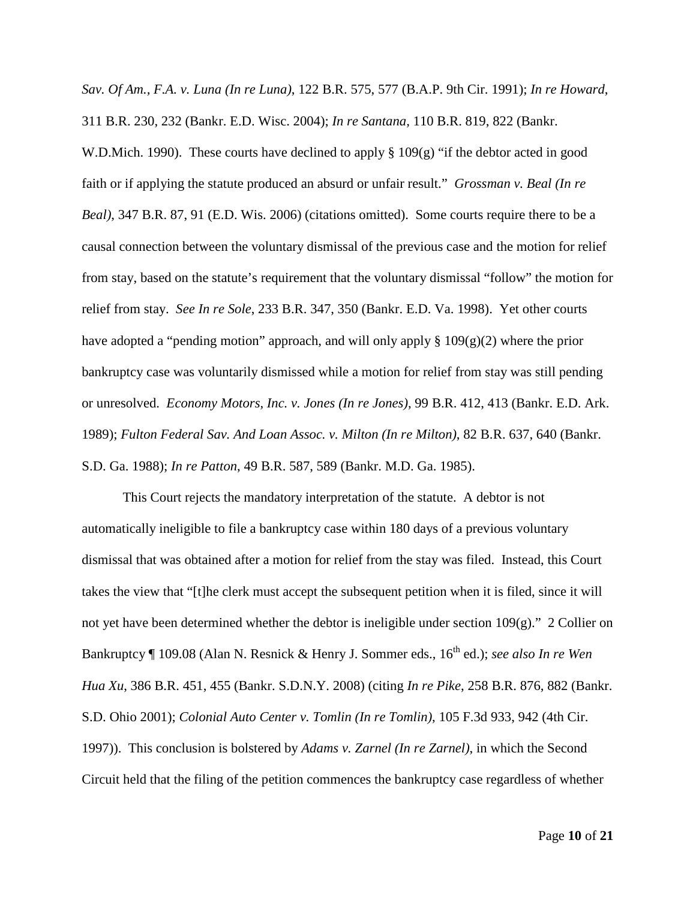*Sav. Of Am., F.A. v. Luna (In re Luna)*, 122 B.R. 575, 577 (B.A.P. 9th Cir. 1991); *In re Howard*, 311 B.R. 230, 232 (Bankr. E.D. Wisc. 2004); *In re Santana,* 110 B.R. 819, 822 (Bankr. W.D.Mich. 1990). These courts have declined to apply  $\S 109(g)$  "if the debtor acted in good faith or if applying the statute produced an absurd or unfair result." *Grossman v. Beal (In re Beal)*, 347 B.R. 87, 91 (E.D. Wis. 2006) (citations omitted). Some courts require there to be a causal connection between the voluntary dismissal of the previous case and the motion for relief from stay, based on the statute's requirement that the voluntary dismissal "follow" the motion for relief from stay. *See In re Sole*, 233 B.R. 347, 350 (Bankr. E.D. Va. 1998). Yet other courts have adopted a "pending motion" approach, and will only apply  $\S 109(g)(2)$  where the prior bankruptcy case was voluntarily dismissed while a motion for relief from stay was still pending or unresolved. *Economy Motors, Inc. v. Jones (In re Jones)*, 99 B.R. 412, 413 (Bankr. E.D. Ark. 1989); *Fulton Federal Sav. And Loan Assoc. v. Milton (In re Milton)*, 82 B.R. 637, 640 (Bankr. S.D. Ga. 1988); *In re Patton*, 49 B.R. 587, 589 (Bankr. M.D. Ga. 1985).

This Court rejects the mandatory interpretation of the statute. A debtor is not automatically ineligible to file a bankruptcy case within 180 days of a previous voluntary dismissal that was obtained after a motion for relief from the stay was filed. Instead, this Court takes the view that "[t]he clerk must accept the subsequent petition when it is filed, since it will not yet have been determined whether the debtor is ineligible under section 109(g)." 2 Collier on Bankruptcy ¶ 109.08 (Alan N. Resnick & Henry J. Sommer eds., 16<sup>th</sup> ed.); *see also In re Wen Hua Xu*, 386 B.R. 451, 455 (Bankr. S.D.N.Y. 2008) (citing *In re Pike*, 258 B.R. 876, 882 (Bankr. S.D. Ohio 2001); *Colonial Auto Center v. Tomlin (In re Tomlin)*, 105 F.3d 933, 942 (4th Cir. 1997)). This conclusion is bolstered by *Adams v. Zarnel (In re Zarnel)*, in which the Second Circuit held that the filing of the petition commences the bankruptcy case regardless of whether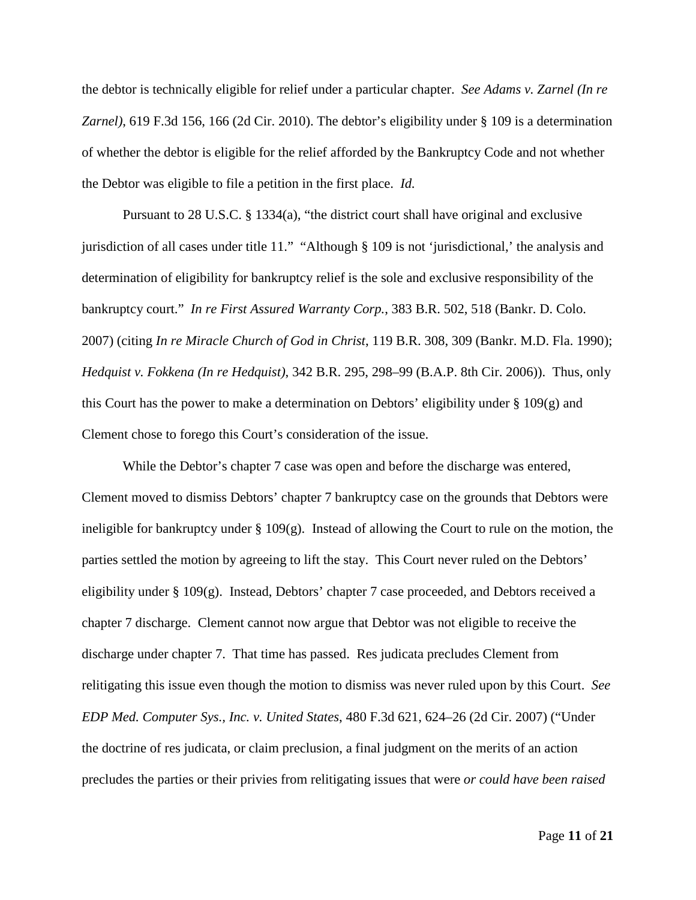the debtor is technically eligible for relief under a particular chapter. *See Adams v. Zarnel (In re Zarnel)*, 619 F.3d 156, 166 (2d Cir. 2010). The debtor's eligibility under § 109 is a determination of whether the debtor is eligible for the relief afforded by the Bankruptcy Code and not whether the Debtor was eligible to file a petition in the first place. *Id.*

Pursuant to 28 U.S.C. § 1334(a), "the district court shall have original and exclusive jurisdiction of all cases under title 11." "Although § 109 is not 'jurisdictional,' the analysis and determination of eligibility for bankruptcy relief is the sole and exclusive responsibility of the bankruptcy court." *In re First Assured Warranty Corp.*, 383 B.R. 502, 518 (Bankr. D. Colo. 2007) (citing *In re Miracle Church of God in Christ*, 119 B.R. 308, 309 (Bankr. M.D. Fla. 1990); *Hedquist v. Fokkena (In re Hedquist)*, 342 B.R. 295, 298–99 (B.A.P. 8th Cir. 2006)). Thus, only this Court has the power to make a determination on Debtors' eligibility under § 109(g) and Clement chose to forego this Court's consideration of the issue.

While the Debtor's chapter 7 case was open and before the discharge was entered, Clement moved to dismiss Debtors' chapter 7 bankruptcy case on the grounds that Debtors were ineligible for bankruptcy under § 109(g). Instead of allowing the Court to rule on the motion, the parties settled the motion by agreeing to lift the stay. This Court never ruled on the Debtors' eligibility under § 109(g). Instead, Debtors' chapter 7 case proceeded, and Debtors received a chapter 7 discharge. Clement cannot now argue that Debtor was not eligible to receive the discharge under chapter 7. That time has passed. Res judicata precludes Clement from relitigating this issue even though the motion to dismiss was never ruled upon by this Court. *See EDP Med. Computer Sys., Inc. v. United States*, 480 F.3d 621, 624–26 (2d Cir. 2007) ("Under the doctrine of res judicata, or claim preclusion, a final judgment on the merits of an action precludes the parties or their privies from relitigating issues that were *or could have been raised*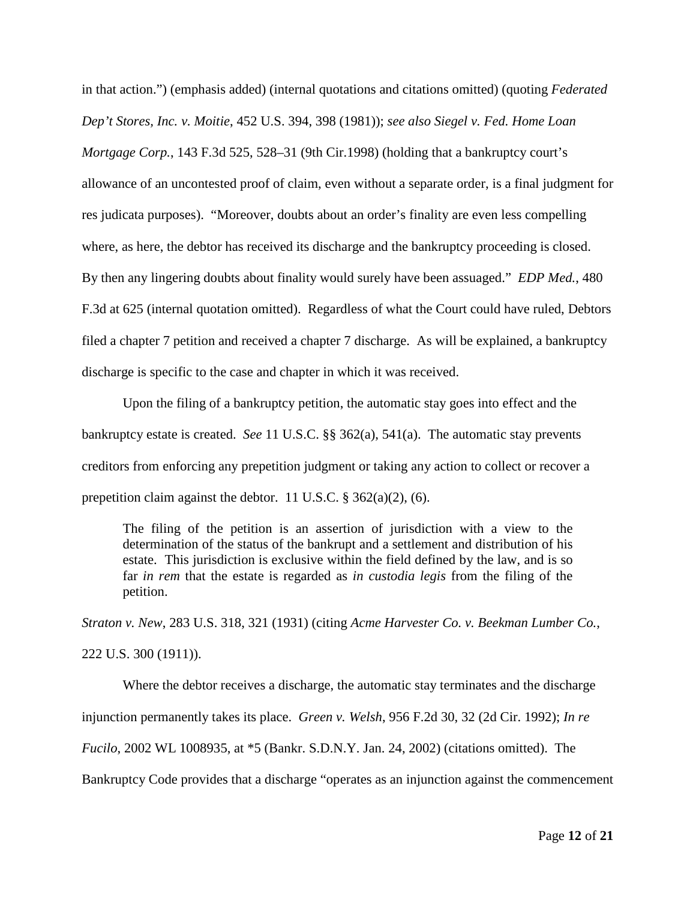in that action.") (emphasis added) (internal quotations and citations omitted) (quoting *Federated Dep't Stores, Inc. v. Moitie*, 452 U.S. 394, 398 (1981)); *see also Siegel v. Fed. Home Loan Mortgage Corp.*, 143 F.3d 525, 528–31 (9th Cir.1998) (holding that a bankruptcy court's allowance of an uncontested proof of claim, even without a separate order, is a final judgment for res judicata purposes). "Moreover, doubts about an order's finality are even less compelling where, as here, the debtor has received its discharge and the bankruptcy proceeding is closed. By then any lingering doubts about finality would surely have been assuaged." *EDP Med.*, 480 F.3d at 625 (internal quotation omitted). Regardless of what the Court could have ruled, Debtors filed a chapter 7 petition and received a chapter 7 discharge. As will be explained, a bankruptcy discharge is specific to the case and chapter in which it was received.

Upon the filing of a bankruptcy petition, the automatic stay goes into effect and the bankruptcy estate is created. *See* 11 U.S.C. §§ 362(a), 541(a). The automatic stay prevents creditors from enforcing any prepetition judgment or taking any action to collect or recover a prepetition claim against the debtor. 11 U.S.C. § 362(a)(2), (6).

The filing of the petition is an assertion of jurisdiction with a view to the determination of the status of the bankrupt and a settlement and distribution of his estate. This jurisdiction is exclusive within the field defined by the law, and is so far *in rem* that the estate is regarded as *in custodia legis* from the filing of the petition.

*Straton v. New*, 283 U.S. 318, 321 (1931) (citing *Acme Harvester Co. v. Beekman Lumber Co.*, 222 U.S. 300 (1911)).

Where the debtor receives a discharge, the automatic stay terminates and the discharge injunction permanently takes its place. *Green v. Welsh*, 956 F.2d 30, 32 (2d Cir. 1992); *In re Fucilo*, 2002 WL 1008935, at \*5 (Bankr. S.D.N.Y. Jan. 24, 2002) (citations omitted). The Bankruptcy Code provides that a discharge "operates as an injunction against the commencement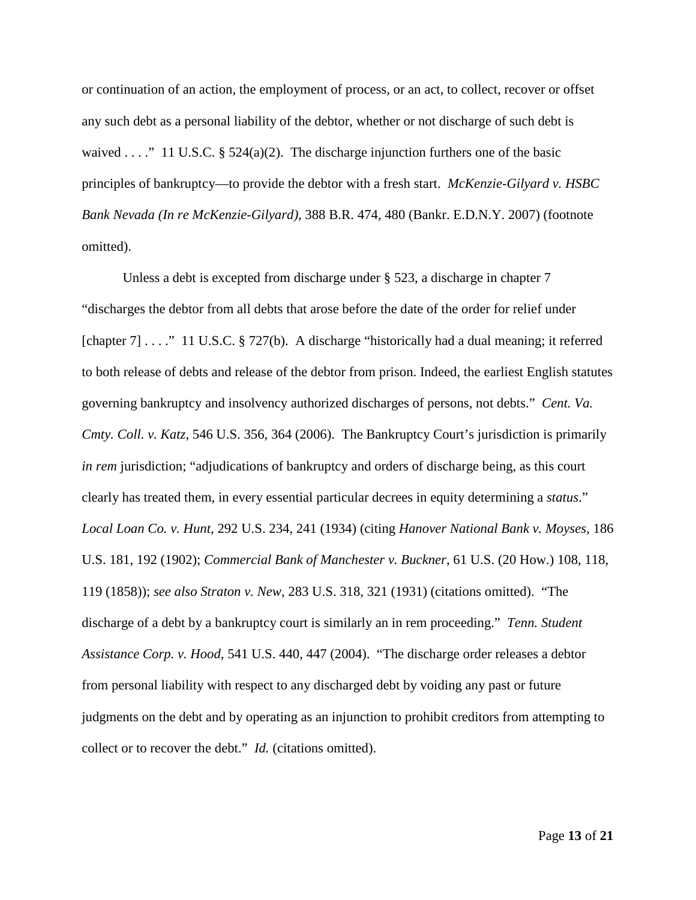or continuation of an action, the employment of process, or an act, to collect, recover or offset any such debt as a personal liability of the debtor, whether or not discharge of such debt is waived . . . ." 11 U.S.C. § 524(a)(2). The discharge injunction furthers one of the basic principles of bankruptcy—to provide the debtor with a fresh start. *McKenzie-Gilyard v. HSBC Bank Nevada (In re McKenzie-Gilyard)*, 388 B.R. 474, 480 (Bankr. E.D.N.Y. 2007) (footnote omitted).

Unless a debt is excepted from discharge under § 523, a discharge in chapter 7 "discharges the debtor from all debts that arose before the date of the order for relief under [chapter 7] . . . . " 11 U.S.C. § 727(b). A discharge "historically had a dual meaning; it referred to both release of debts and release of the debtor from prison. Indeed, the earliest English statutes governing bankruptcy and insolvency authorized discharges of persons, not debts." *Cent. Va. Cmty. Coll. v. Katz*, 546 U.S. 356, 364 (2006). The Bankruptcy Court's jurisdiction is primarily *in rem* jurisdiction; "adjudications of bankruptcy and orders of discharge being, as this court clearly has treated them, in every essential particular decrees in equity determining a *status*." *Local Loan Co. v. Hunt*, 292 U.S. 234, 241 (1934) (citing *Hanover National Bank v. Moyses*, 186 U.S. 181, 192 (1902); *Commercial Bank of Manchester v. Buckner*, 61 U.S. (20 How.) 108, 118, 119 (1858)); *see also Straton v. New*, 283 U.S. 318, 321 (1931) (citations omitted). "The discharge of a debt by a bankruptcy court is similarly an in rem proceeding." *Tenn. Student Assistance Corp. v. Hood*, 541 U.S. 440, 447 (2004). "The discharge order releases a debtor from personal liability with respect to any discharged debt by voiding any past or future judgments on the debt and by operating as an injunction to prohibit creditors from attempting to collect or to recover the debt." *Id.* (citations omitted).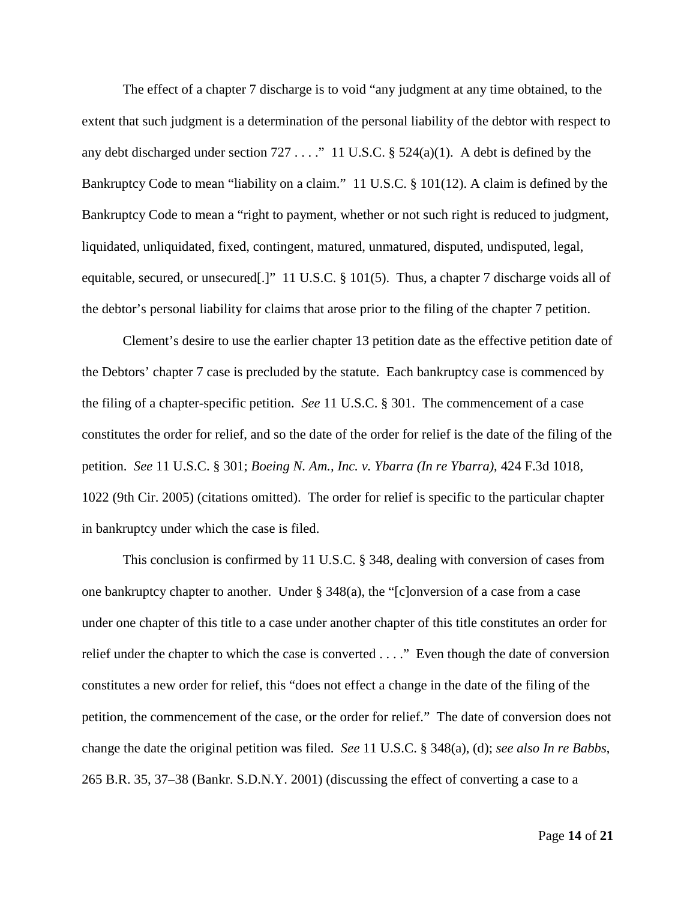The effect of a chapter 7 discharge is to void "any judgment at any time obtained, to the extent that such judgment is a determination of the personal liability of the debtor with respect to any debt discharged under section  $727...$  " 11 U.S.C. §  $524(a)(1)$ . A debt is defined by the Bankruptcy Code to mean "liability on a claim." 11 U.S.C. § 101(12). A claim is defined by the Bankruptcy Code to mean a "right to payment, whether or not such right is reduced to judgment, liquidated, unliquidated, fixed, contingent, matured, unmatured, disputed, undisputed, legal, equitable, secured, or unsecured[.]" 11 U.S.C. § 101(5). Thus, a chapter 7 discharge voids all of the debtor's personal liability for claims that arose prior to the filing of the chapter 7 petition.

Clement's desire to use the earlier chapter 13 petition date as the effective petition date of the Debtors' chapter 7 case is precluded by the statute. Each bankruptcy case is commenced by the filing of a chapter-specific petition. *See* 11 U.S.C. § 301. The commencement of a case constitutes the order for relief, and so the date of the order for relief is the date of the filing of the petition. *See* 11 U.S.C. § 301; *Boeing N. Am., Inc. v. Ybarra (In re Ybarra)*, 424 F.3d 1018, 1022 (9th Cir. 2005) (citations omitted). The order for relief is specific to the particular chapter in bankruptcy under which the case is filed.

This conclusion is confirmed by 11 U.S.C. § 348, dealing with conversion of cases from one bankruptcy chapter to another. Under § 348(a), the "[c]onversion of a case from a case under one chapter of this title to a case under another chapter of this title constitutes an order for relief under the chapter to which the case is converted . . . ." Even though the date of conversion constitutes a new order for relief, this "does not effect a change in the date of the filing of the petition, the commencement of the case, or the order for relief." The date of conversion does not change the date the original petition was filed. *See* 11 U.S.C. § 348(a), (d); *see also In re Babbs*, 265 B.R. 35, 37–38 (Bankr. S.D.N.Y. 2001) (discussing the effect of converting a case to a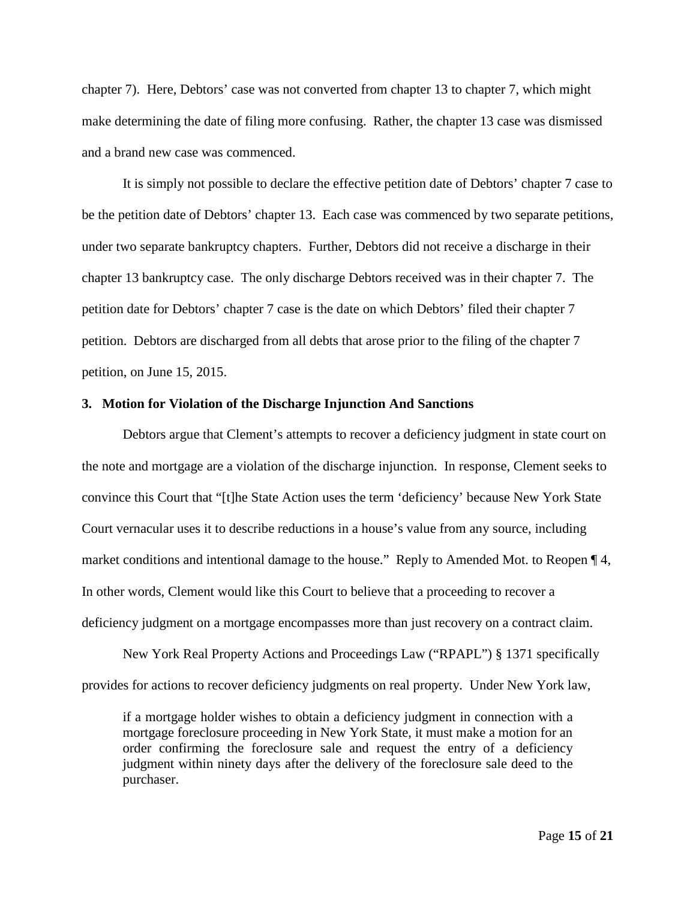chapter 7). Here, Debtors' case was not converted from chapter 13 to chapter 7, which might make determining the date of filing more confusing. Rather, the chapter 13 case was dismissed and a brand new case was commenced.

It is simply not possible to declare the effective petition date of Debtors' chapter 7 case to be the petition date of Debtors' chapter 13. Each case was commenced by two separate petitions, under two separate bankruptcy chapters. Further, Debtors did not receive a discharge in their chapter 13 bankruptcy case. The only discharge Debtors received was in their chapter 7. The petition date for Debtors' chapter 7 case is the date on which Debtors' filed their chapter 7 petition. Debtors are discharged from all debts that arose prior to the filing of the chapter 7 petition, on June 15, 2015.

#### **3. Motion for Violation of the Discharge Injunction And Sanctions**

Debtors argue that Clement's attempts to recover a deficiency judgment in state court on the note and mortgage are a violation of the discharge injunction. In response, Clement seeks to convince this Court that "[t]he State Action uses the term 'deficiency' because New York State Court vernacular uses it to describe reductions in a house's value from any source, including market conditions and intentional damage to the house." Reply to Amended Mot. to Reopen ¶ 4, In other words, Clement would like this Court to believe that a proceeding to recover a deficiency judgment on a mortgage encompasses more than just recovery on a contract claim.

New York Real Property Actions and Proceedings Law ("RPAPL") § 1371 specifically provides for actions to recover deficiency judgments on real property. Under New York law,

if a mortgage holder wishes to obtain a deficiency judgment in connection with a mortgage foreclosure proceeding in New York State, it must make a motion for an order confirming the foreclosure sale and request the entry of a deficiency judgment within ninety days after the delivery of the foreclosure sale deed to the purchaser.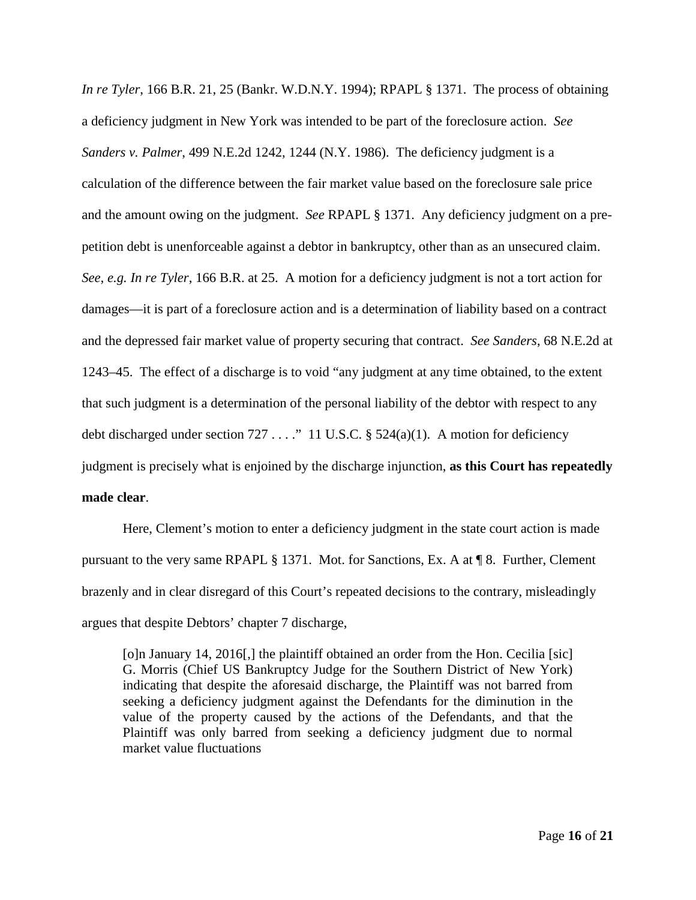*In re Tyler*, 166 B.R. 21, 25 (Bankr. W.D.N.Y. 1994); RPAPL § 1371. The process of obtaining a deficiency judgment in New York was intended to be part of the foreclosure action. *See Sanders v. Palmer*, 499 N.E.2d 1242, 1244 (N.Y. 1986). The deficiency judgment is a calculation of the difference between the fair market value based on the foreclosure sale price and the amount owing on the judgment. *See* RPAPL § 1371. Any deficiency judgment on a prepetition debt is unenforceable against a debtor in bankruptcy, other than as an unsecured claim. *See, e.g. In re Tyler*, 166 B.R. at 25. A motion for a deficiency judgment is not a tort action for damages—it is part of a foreclosure action and is a determination of liability based on a contract and the depressed fair market value of property securing that contract. *See Sanders*, 68 N.E.2d at 1243–45. The effect of a discharge is to void "any judgment at any time obtained, to the extent that such judgment is a determination of the personal liability of the debtor with respect to any debt discharged under section  $727...$  " 11 U.S.C. §  $524(a)(1)$ . A motion for deficiency judgment is precisely what is enjoined by the discharge injunction, **as this Court has repeatedly made clear**.

Here, Clement's motion to enter a deficiency judgment in the state court action is made pursuant to the very same RPAPL § 1371. Mot. for Sanctions, Ex. A at ¶ 8. Further, Clement brazenly and in clear disregard of this Court's repeated decisions to the contrary, misleadingly argues that despite Debtors' chapter 7 discharge,

[o]n January 14, 2016[,] the plaintiff obtained an order from the Hon. Cecilia [sic] G. Morris (Chief US Bankruptcy Judge for the Southern District of New York) indicating that despite the aforesaid discharge, the Plaintiff was not barred from seeking a deficiency judgment against the Defendants for the diminution in the value of the property caused by the actions of the Defendants, and that the Plaintiff was only barred from seeking a deficiency judgment due to normal market value fluctuations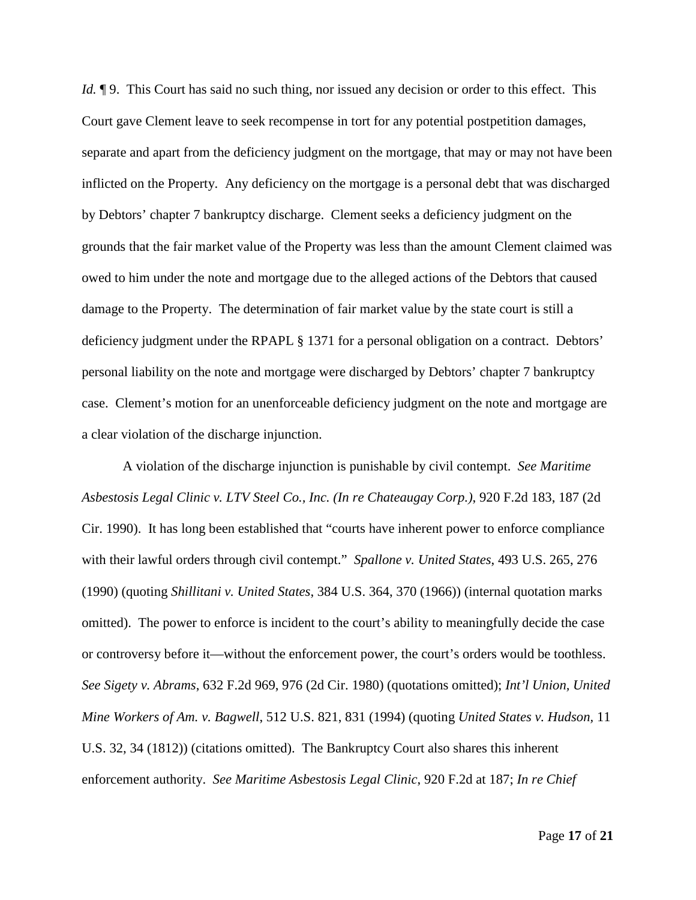*Id.*  $\P$ 9. This Court has said no such thing, nor issued any decision or order to this effect. This Court gave Clement leave to seek recompense in tort for any potential postpetition damages, separate and apart from the deficiency judgment on the mortgage, that may or may not have been inflicted on the Property. Any deficiency on the mortgage is a personal debt that was discharged by Debtors' chapter 7 bankruptcy discharge. Clement seeks a deficiency judgment on the grounds that the fair market value of the Property was less than the amount Clement claimed was owed to him under the note and mortgage due to the alleged actions of the Debtors that caused damage to the Property. The determination of fair market value by the state court is still a deficiency judgment under the RPAPL § 1371 for a personal obligation on a contract. Debtors' personal liability on the note and mortgage were discharged by Debtors' chapter 7 bankruptcy case. Clement's motion for an unenforceable deficiency judgment on the note and mortgage are a clear violation of the discharge injunction.

A violation of the discharge injunction is punishable by civil contempt. *See Maritime Asbestosis Legal Clinic v. LTV Steel Co., Inc. (In re Chateaugay Corp.)*, 920 F.2d 183, 187 (2d Cir. 1990). It has long been established that "courts have inherent power to enforce compliance with their lawful orders through civil contempt." *Spallone v. United States*, 493 U.S. 265, 276 (1990) (quoting *Shillitani v. United States*, 384 U.S. 364, 370 (1966)) (internal quotation marks omitted). The power to enforce is incident to the court's ability to meaningfully decide the case or controversy before it—without the enforcement power, the court's orders would be toothless. *See Sigety v. Abrams*, 632 F.2d 969, 976 (2d Cir. 1980) (quotations omitted); *Int'l Union, United Mine Workers of Am. v. Bagwell*, 512 U.S. 821, 831 (1994) (quoting *United States v. Hudson,* 11 U.S. 32, 34 (1812)) (citations omitted). The Bankruptcy Court also shares this inherent enforcement authority. *See Maritime Asbestosis Legal Clinic*, 920 F.2d at 187; *In re Chief*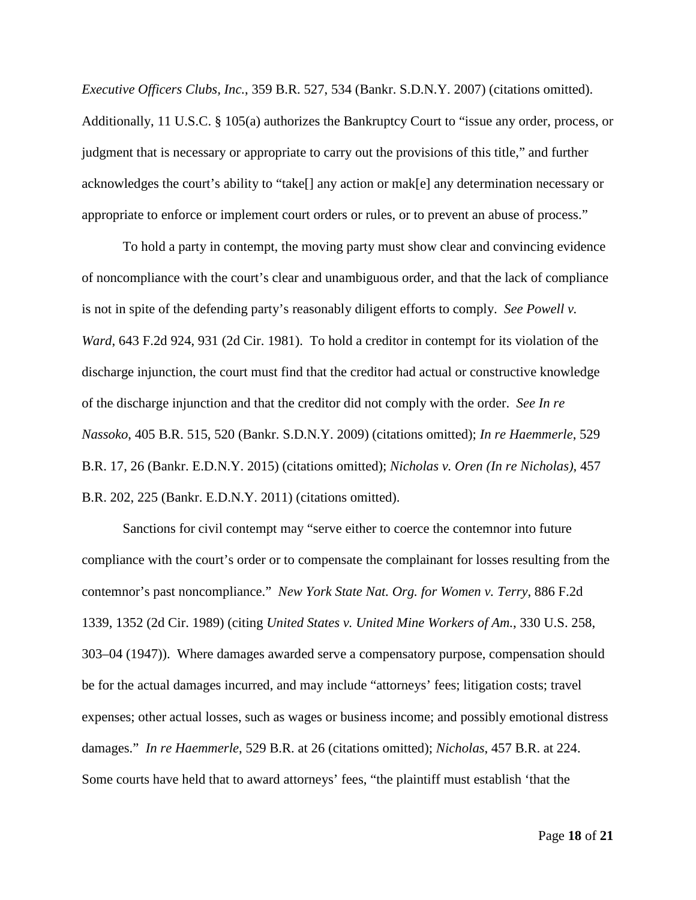*Executive Officers Clubs, Inc.*, 359 B.R. 527, 534 (Bankr. S.D.N.Y. 2007) (citations omitted). Additionally, 11 U.S.C. § 105(a) authorizes the Bankruptcy Court to "issue any order, process, or judgment that is necessary or appropriate to carry out the provisions of this title," and further acknowledges the court's ability to "take[] any action or mak[e] any determination necessary or appropriate to enforce or implement court orders or rules, or to prevent an abuse of process."

To hold a party in contempt, the moving party must show clear and convincing evidence of noncompliance with the court's clear and unambiguous order, and that the lack of compliance is not in spite of the defending party's reasonably diligent efforts to comply. *See Powell v. Ward*, 643 F.2d 924, 931 (2d Cir. 1981). To hold a creditor in contempt for its violation of the discharge injunction, the court must find that the creditor had actual or constructive knowledge of the discharge injunction and that the creditor did not comply with the order. *See In re Nassoko*, 405 B.R. 515, 520 (Bankr. S.D.N.Y. 2009) (citations omitted); *In re Haemmerle*, 529 B.R. 17, 26 (Bankr. E.D.N.Y. 2015) (citations omitted); *Nicholas v. Oren (In re Nicholas)*, 457 B.R. 202, 225 (Bankr. E.D.N.Y. 2011) (citations omitted).

Sanctions for civil contempt may "serve either to coerce the contemnor into future compliance with the court's order or to compensate the complainant for losses resulting from the contemnor's past noncompliance." *New York State Nat. Org. for Women v. Terry*, 886 F.2d 1339, 1352 (2d Cir. 1989) (citing *United States v. United Mine Workers of Am.*, 330 U.S. 258, 303–04 (1947)). Where damages awarded serve a compensatory purpose, compensation should be for the actual damages incurred, and may include "attorneys' fees; litigation costs; travel expenses; other actual losses, such as wages or business income; and possibly emotional distress damages." *In re Haemmerle*, 529 B.R. at 26 (citations omitted); *Nicholas*, 457 B.R. at 224. Some courts have held that to award attorneys' fees, "the plaintiff must establish 'that the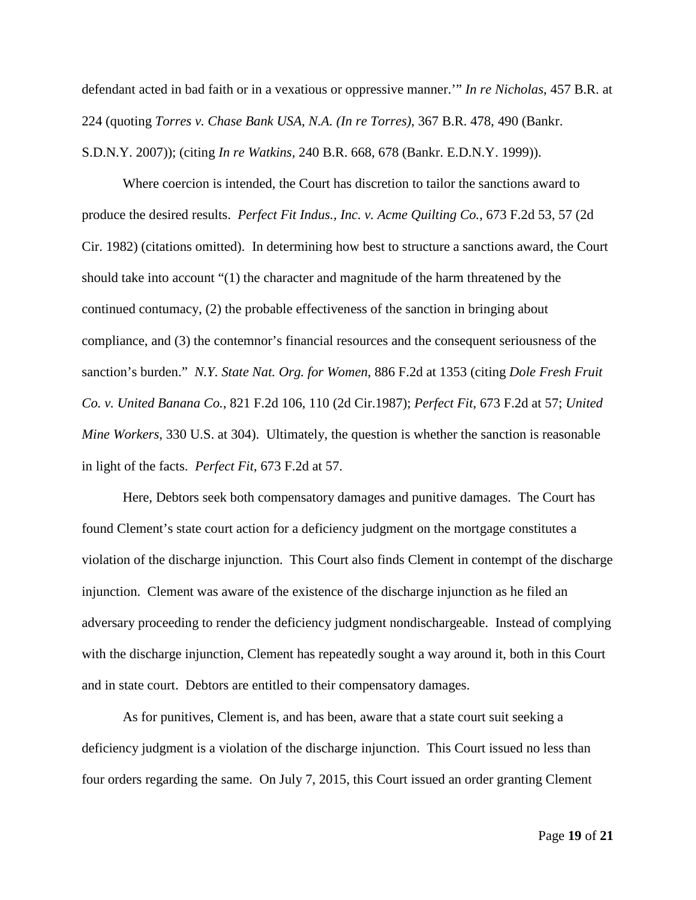defendant acted in bad faith or in a vexatious or oppressive manner.'" *In re Nicholas*, 457 B.R. at 224 (quoting *Torres v. Chase Bank USA, N.A. (In re Torres)*, 367 B.R. 478, 490 (Bankr. S.D.N.Y. 2007)); (citing *In re Watkins,* 240 B.R. 668, 678 (Bankr. E.D.N.Y. 1999)).

Where coercion is intended, the Court has discretion to tailor the sanctions award to produce the desired results. *Perfect Fit Indus., Inc. v. Acme Quilting Co.*, 673 F.2d 53, 57 (2d Cir. 1982) (citations omitted). In determining how best to structure a sanctions award, the Court should take into account "(1) the character and magnitude of the harm threatened by the continued contumacy, (2) the probable effectiveness of the sanction in bringing about compliance, and (3) the contemnor's financial resources and the consequent seriousness of the sanction's burden." *N.Y. State Nat. Org. for Women*, 886 F.2d at 1353 (citing *Dole Fresh Fruit Co. v. United Banana Co.*, 821 F.2d 106, 110 (2d Cir.1987); *Perfect Fit*, 673 F.2d at 57; *United Mine Workers*, 330 U.S. at 304). Ultimately, the question is whether the sanction is reasonable in light of the facts. *Perfect Fit*, 673 F.2d at 57.

Here, Debtors seek both compensatory damages and punitive damages. The Court has found Clement's state court action for a deficiency judgment on the mortgage constitutes a violation of the discharge injunction. This Court also finds Clement in contempt of the discharge injunction. Clement was aware of the existence of the discharge injunction as he filed an adversary proceeding to render the deficiency judgment nondischargeable. Instead of complying with the discharge injunction, Clement has repeatedly sought a way around it, both in this Court and in state court. Debtors are entitled to their compensatory damages.

As for punitives, Clement is, and has been, aware that a state court suit seeking a deficiency judgment is a violation of the discharge injunction. This Court issued no less than four orders regarding the same. On July 7, 2015, this Court issued an order granting Clement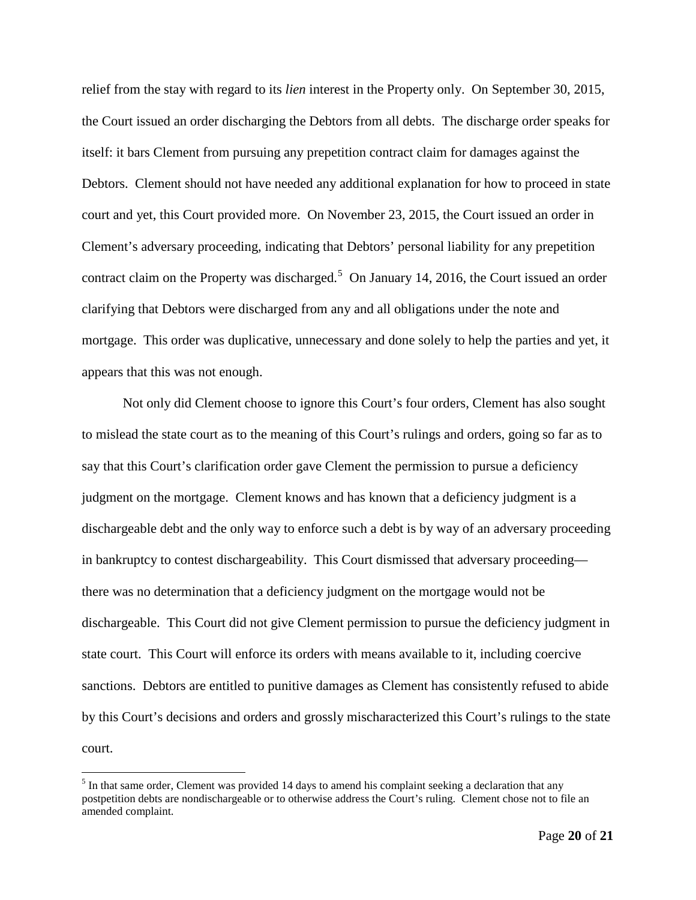relief from the stay with regard to its *lien* interest in the Property only. On September 30, 2015, the Court issued an order discharging the Debtors from all debts. The discharge order speaks for itself: it bars Clement from pursuing any prepetition contract claim for damages against the Debtors. Clement should not have needed any additional explanation for how to proceed in state court and yet, this Court provided more. On November 23, 2015, the Court issued an order in Clement's adversary proceeding, indicating that Debtors' personal liability for any prepetition contract claim on the Property was discharged.<sup>[5](#page-19-0)</sup> On January 14, 2016, the Court issued an order clarifying that Debtors were discharged from any and all obligations under the note and mortgage. This order was duplicative, unnecessary and done solely to help the parties and yet, it appears that this was not enough.

Not only did Clement choose to ignore this Court's four orders, Clement has also sought to mislead the state court as to the meaning of this Court's rulings and orders, going so far as to say that this Court's clarification order gave Clement the permission to pursue a deficiency judgment on the mortgage. Clement knows and has known that a deficiency judgment is a dischargeable debt and the only way to enforce such a debt is by way of an adversary proceeding in bankruptcy to contest dischargeability. This Court dismissed that adversary proceeding there was no determination that a deficiency judgment on the mortgage would not be dischargeable. This Court did not give Clement permission to pursue the deficiency judgment in state court. This Court will enforce its orders with means available to it, including coercive sanctions. Debtors are entitled to punitive damages as Clement has consistently refused to abide by this Court's decisions and orders and grossly mischaracterized this Court's rulings to the state court.

<span id="page-19-0"></span><sup>&</sup>lt;sup>5</sup> In that same order, Clement was provided 14 days to amend his complaint seeking a declaration that any postpetition debts are nondischargeable or to otherwise address the Court's ruling. Clement chose not to file an amended complaint.